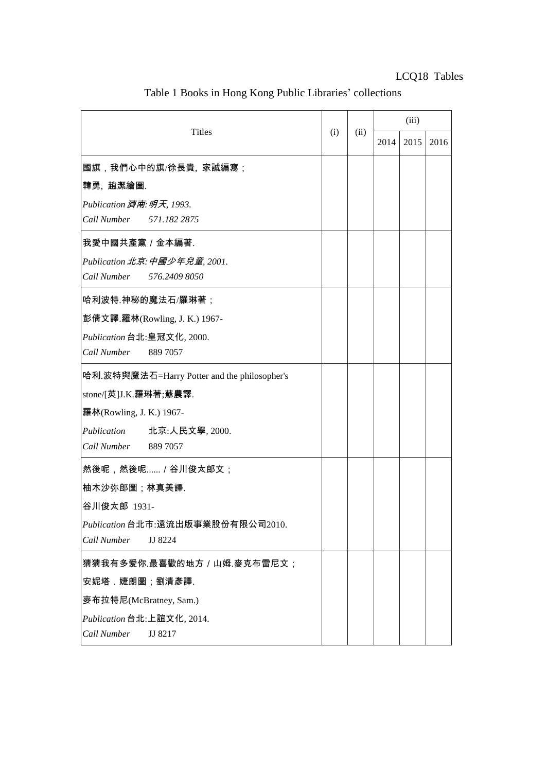| <b>Titles</b>                                |  | (ii) | (iii) |      |      |
|----------------------------------------------|--|------|-------|------|------|
|                                              |  |      | 2014  | 2015 | 2016 |
| 國旗,我們心中的旗/徐長貴, 家誠編寫;                         |  |      |       |      |      |
| 韓勇,趙潔繪圖.                                     |  |      |       |      |      |
| Publication 濟南: 明天, 1993.                    |  |      |       |      |      |
| Call Number<br>571.182 2875                  |  |      |       |      |      |
| 我愛中國共產黨 / 金本編著.                              |  |      |       |      |      |
| Publication 北京: 中國少年兒童, 2001.                |  |      |       |      |      |
| Call Number<br>576.2409 8050                 |  |      |       |      |      |
| 哈利波特.神秘的魔法石/羅琳著;                             |  |      |       |      |      |
| 彭倩文譯.羅林(Rowling, J. K.) 1967-                |  |      |       |      |      |
| Publication 台北:皇冠文化, 2000.                   |  |      |       |      |      |
| Call Number<br>889 7057                      |  |      |       |      |      |
| 哈利.波特與魔法石=Harry Potter and the philosopher's |  |      |       |      |      |
| stone/[英]J.K.羅琳著;蘇農譯.                        |  |      |       |      |      |
| 羅林(Rowling, J. K.) 1967-                     |  |      |       |      |      |
| Publication<br>北京:人民文學, 2000.                |  |      |       |      |      |
| Call Number<br>889 7057                      |  |      |       |      |      |
| 然後呢,然後呢 / 谷川俊太郎文;                            |  |      |       |      |      |
| 柚木沙弥郎圖;林真美譯.                                 |  |      |       |      |      |
| 谷川俊太郎 1931-                                  |  |      |       |      |      |
| Publication 台北市:遠流出版事業股份有限公司2010.            |  |      |       |      |      |
| Call Number<br>JJ 8224                       |  |      |       |      |      |
| 猜猜我有多愛你.最喜歡的地方 / 山姆.麥克布雷尼文 ;                 |  |      |       |      |      |
| 安妮塔 . 婕朗圖;劉清彥譯.                              |  |      |       |      |      |
| 麥布拉特尼(McBratney, Sam.)                       |  |      |       |      |      |
| Publication 台北:上誼文化, 2014.                   |  |      |       |      |      |
| Call Number<br>JJ 8217                       |  |      |       |      |      |

Table 1 Books in Hong Kong Public Libraries' collections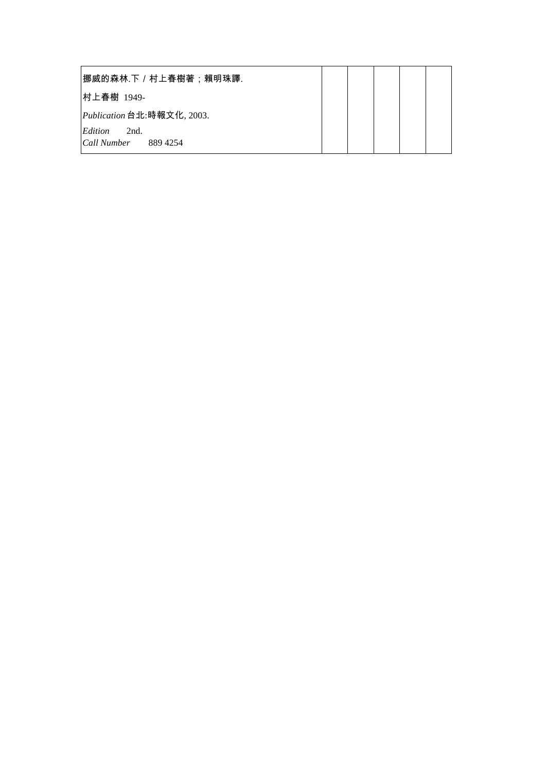| 挪威的森林.下/村上春樹著;賴明珠譯.        |  |  |  |
|----------------------------|--|--|--|
| 村上春樹 1949-                 |  |  |  |
| Publication 台北:時報文化, 2003. |  |  |  |
| Edition<br>2nd.            |  |  |  |
| Call Number<br>889 4254    |  |  |  |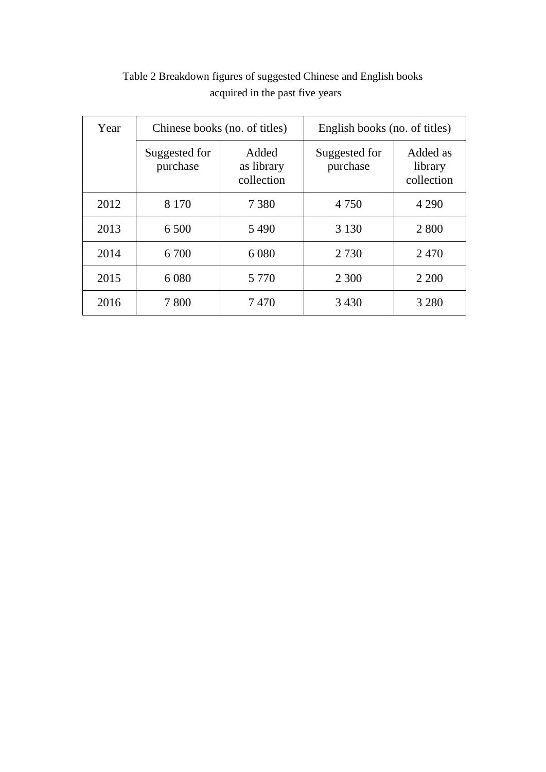| Year | Chinese books (no. of titles) |                                   | English books (no. of titles) |                                   |  |  |
|------|-------------------------------|-----------------------------------|-------------------------------|-----------------------------------|--|--|
|      | Suggested for<br>purchase     | Added<br>as library<br>collection | Suggested for<br>purchase     | Added as<br>library<br>collection |  |  |
| 2012 | 8 1 7 0                       | 7 3 8 0                           | 4 7 5 0                       | 4 2 9 0                           |  |  |
| 2013 | 6 500                         | 5490                              | 3 1 3 0                       | 2 800                             |  |  |
| 2014 | 6 700                         | 6 0 8 0                           | 2 7 3 0                       | 2470                              |  |  |
| 2015 | 6 0 8 0                       | 5 7 7 0                           | 2 3 0 0                       | 2 2 0 0                           |  |  |
| 2016 | 7800                          | 7470                              | 3 4 3 0                       | 3 2 8 0                           |  |  |

## Table 2 Breakdown figures of suggested Chinese and English books acquired in the past five years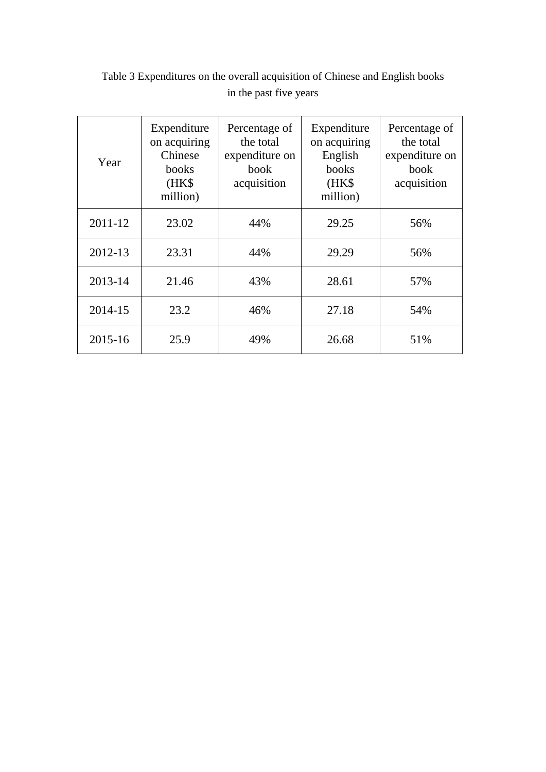| Year    | Expenditure<br>on acquiring<br>Chinese<br>books<br>(HK\$<br>million) | Percentage of<br>the total<br>expenditure on<br>book<br>acquisition | Expenditure<br>on acquiring<br>English<br>books<br>(HK\$<br>million) | Percentage of<br>the total<br>expenditure on<br>book<br>acquisition |
|---------|----------------------------------------------------------------------|---------------------------------------------------------------------|----------------------------------------------------------------------|---------------------------------------------------------------------|
| 2011-12 | 23.02                                                                | 44%                                                                 | 29.25                                                                | 56%                                                                 |
| 2012-13 | 23.31                                                                | 44%                                                                 | 29.29                                                                | 56%                                                                 |
| 2013-14 | 21.46                                                                | 43%                                                                 | 28.61                                                                | 57%                                                                 |
| 2014-15 | 23.2                                                                 | 46%                                                                 | 27.18                                                                | 54%                                                                 |
| 2015-16 | 25.9                                                                 | 49%                                                                 | 26.68                                                                | 51%                                                                 |

Table 3 Expenditures on the overall acquisition of Chinese and English books in the past five years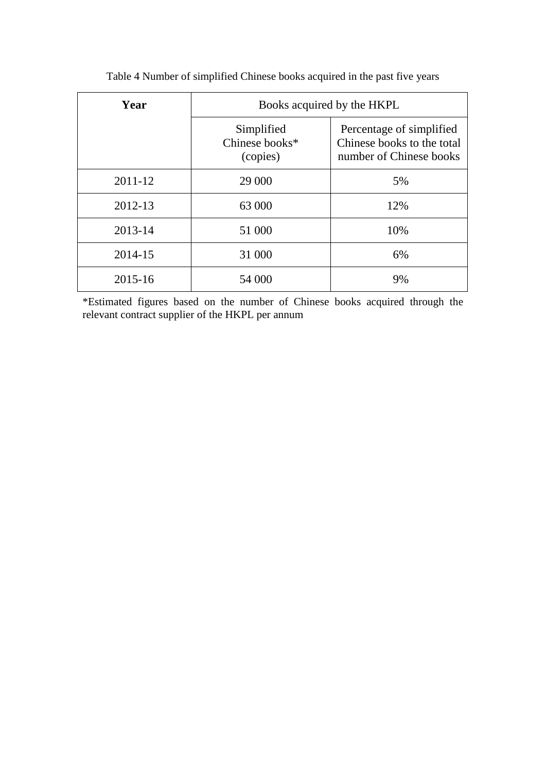| Year    | Books acquired by the HKPL               |                                                                                   |  |  |  |
|---------|------------------------------------------|-----------------------------------------------------------------------------------|--|--|--|
|         | Simplified<br>Chinese books*<br>(copies) | Percentage of simplified<br>Chinese books to the total<br>number of Chinese books |  |  |  |
| 2011-12 | 29 000                                   | 5%                                                                                |  |  |  |
| 2012-13 | 63 000                                   | 12%                                                                               |  |  |  |
| 2013-14 | 51 000                                   | 10%                                                                               |  |  |  |
| 2014-15 | 31 000                                   | 6%                                                                                |  |  |  |
| 2015-16 | 54 000                                   | 9%                                                                                |  |  |  |

Table 4 Number of simplified Chinese books acquired in the past five years

\*Estimated figures based on the number of Chinese books acquired through the relevant contract supplier of the HKPL per annum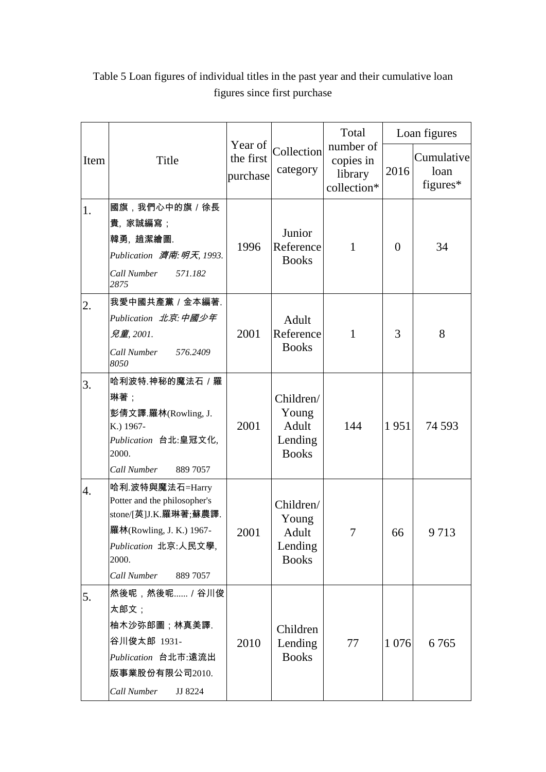|      |                                                                                                                                                                  |                                  |                                                        | Total                                            |                | Loan figures                   |
|------|------------------------------------------------------------------------------------------------------------------------------------------------------------------|----------------------------------|--------------------------------------------------------|--------------------------------------------------|----------------|--------------------------------|
| Item | Title                                                                                                                                                            | Year of<br>the first<br>purchase | Collection<br>category                                 | number of<br>copies in<br>library<br>collection* | 2016           | Cumulative<br>loan<br>figures* |
| 1.   | 國旗,我們心中的旗/徐長                                                                                                                                                     |                                  |                                                        |                                                  |                |                                |
|      | 貴,家誠編寫;<br>韓勇, 趙潔繪圖.<br>Publication 濟南: 明天, 1993.<br>Call Number<br>571.182<br>2875                                                                              | 1996                             | Junior<br>Reference<br><b>Books</b>                    | $\mathbf{1}$                                     | $\overline{0}$ | 34                             |
| 2.   | 我愛中國共產黨 / 金本編著.<br>Publication 北京:中國少年<br>兒童,2001.<br>Call Number<br>576.2409<br>8050                                                                            | 2001                             | Adult<br>Reference<br><b>Books</b>                     | $\mathbf{1}$                                     | 3              | 8                              |
| 3.   | 哈利波特.神秘的魔法石 / 羅<br>琳著;<br>彭倩文譯.羅林(Rowling, J.<br>K.) 1967-<br>Publication 台北:皇冠文化,<br>2000.<br>Call Number<br>889 7057                                           | 2001                             | Children/<br>Young<br>Adult<br>Lending<br><b>Books</b> | 144                                              | 1951           | 74 5 93                        |
| 4.   | 哈利.波特與魔法石=Harry<br>Potter and the philosopher's<br>stone/[英]J.K.羅琳著;蘇農譯.<br>羅林(Rowling, J. K.) 1967-<br>Publication 北京:人民文學,<br>2000.<br>Call Number<br>889 7057 | 2001                             | Children/<br>Young<br>Adult<br>Lending<br><b>Books</b> | 7                                                | 66             | 9713                           |
| 5.   | 然後呢,然後呢 / 谷川俊<br>太郎文;<br>柚木沙弥郎圖;林真美譯.<br>谷川俊太郎 1931-<br>Publication 台北市:遠流出<br>版事業股份有限公司2010.<br>Call Number<br>JJ 8224                                          | 2010                             | Children<br>Lending<br><b>Books</b>                    | 77                                               | 1 0 7 6        | 6765                           |

Table 5 Loan figures of individual titles in the past year and their cumulative loan figures since first purchase